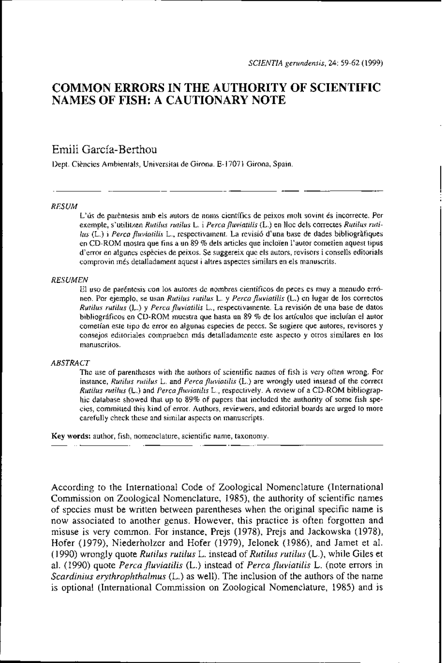# **COMMON ERRORS IN THE AUTHORITY OF SCIENTIFIC NAMES OF FISH: A CAUTIONARY NOTE**

# Emili Garcia-Berthou

Dept. Ciències Ambientals, Universitat de Girona. E-17071 Girona, Spain.

#### *RESUM*

L'ús de parèntesis amb els autors de noms científics de peixos molt sovint és incorrecte. Per exemple, s'utilitzen *Rutilus rutilus* L. i *Percafluviatilis* (L.) en lloc dels correctes *Rutilus rutilus* (L.) i *Perca fluviatilis* L., respectivament. La revisió d'una base de dades bibliogràfiques en CD-ROM mostra que fins a un 89 % dels articles que incloi'en l'autor cometien aquest tipus d'error en algunes espkcies de peixos. Se suggereix que els autors, revisors i consells editorials comprovin més detalladament aquest i altres aspectes similars en els manuscrits.

#### *RESUMEN*

El uso de paréntesis con 10s autores de nombres científicos de peces es muy a menudo erróneo. Por ejemplo, se usan *Rutilus rutilus* L. y *Percafluviatilis* (L.) en lugar de 10s correctos *Rutilus rutilus* (L.) y *Perca fluviatilis* L., respectivamente. La revisión de una base de datos bibliográficos en CD-ROM muestra que hasta un 89 % de 10s artículos que incluian el autor cometian este tip0 de error en algunas especies de peces. Se sugiere que autores, revisores y consejos editoriales comprueben mis detalladamente este aspecto y otros similares en 10s manuscritos.

#### *ABSTRACT*

The use of parentheses with the authors of scientific names of fish is very often wrong. For instance, *Rutilus rutilus* L. and *Percafluviatilis* (L.) are wrongly used instead of the correct *Rutilus rutilus* (L.) and *Percafluviatilis* L., respectively. *A* review of a CD-ROM bibliographic database showed that up to 89% of papers that included the authority of some fish species, cornmitted this kind of error. Authors, reviewers, and editorial boards are urged to more carefully check these and similar aspects on manuscripts.

**Key words:** author, fish, nomenclature, scientific name, taxonomy

According to the International Code of Zoological Nomenclature (International Cornmission on Zoological Nomenclature, 1985), the authority of scientific names of species must be written between parentheses when the original specific name is now associated to another genus. However, this practice is often forgotten and misuse is very common. For instance, Prejs (1978), Prejs and Jackowska (1978), Hofer (1979), Niederholzer and Hofer (1979), Jelonek (1986), and Jamet et al. (1990) wrongly quote *Rutilus rutilus* L. instead of *Rutilus rutilus* (L.), while Giles et al. (1990) quote *Perca fluviatilis* (L.) instead of *Perca fluviatilis* L. (note errors in *Scardinius erythrophthalmus* (L.) as well). The inclusion of the authors of the name is optional (International Commission on Zoological Nomenclature, 1985) and is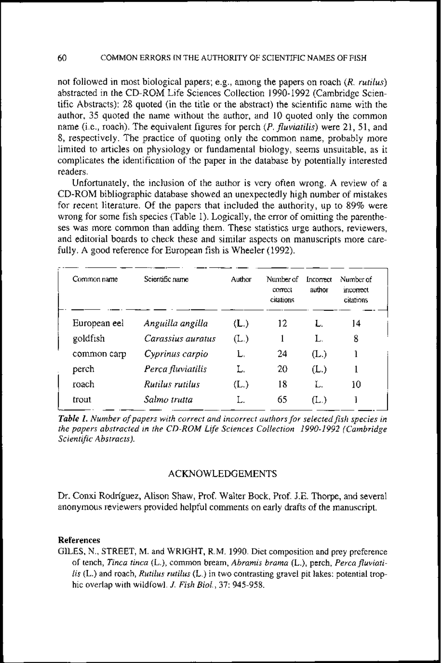not followed in most biological papers; e.g., among the papers on roach *(R. rutilus)*  abstracted in the CD-ROM Life Sciences Collection 1990-1992 (Cambridge Scientific Abstracts): 28 quoted (in the title or the abstract) the scientific name with the author, 35 quoted the name without the author, and 10 quoted only the common name (i.e., roach). The equivalent figures for perch *(P. fluviatilis)* were 21, 51, and 8, respectively. The practice of quoting only the common name, probably more limited to articles on physiology or fundamental biology, seems unsuitable, as it complicates the identification of the paper in the database by potentially interested readers.

Unfortunately, the inclusion of the author is very often wrong. A review of a CD-ROM bibliographic database showed an unexpectedly high number of mistakes for recent literature. Of the papers that included the authority, up to 89% were wrong for some fish species (Table 1). Logically, the error of omitting the parentheses was more common than adding them. These statistics urge authors, reviewers, and editorial boards to check these and similar aspects on manuscripts more carefully. A good reference for European fish is Wheeler (1992).

| Common name  | Scientific name   | Author        | Number of<br>correct<br>citations | Incorrect<br>author | Number of<br>incorrect<br>citations |
|--------------|-------------------|---------------|-----------------------------------|---------------------|-------------------------------------|
| European eel | Anguilla angilla  | (L.)          | 12                                | L.                  | 14                                  |
| goldfish     | Carassius auratus | $(L_{\cdot})$ |                                   | L.                  | 8                                   |
| common carp  | Cyprinus carpio   | L.            | 24                                | (L.)                |                                     |
| perch        | Perca fluviatilis | Ľ.            | 20                                | (L.)                |                                     |
| roach        | Rutilus rutilus   | (L.)          | 18                                | Ľ.                  | 10                                  |
| trout        | Salmo trutta      |               | 65                                | (L.)                |                                     |

**Table 1.** Number of papers with correct and incorrect authors for selected fish species in *the papers abstracted in the CD-ROM Life Sciences Collection 1990-1992 (Cambridge Scientific Abstracts).* 

## ACKNOWLEDGEMENTS

Dr. Conxi Rodríguez, Alison Shaw, Prof. Walter Bock, Prof. J.E. Thorpe, and severa1 anonymous reviewers provided helpful cornments on early drafts of the manuscript.

### **References**

GILES, N., STREET, M. and WRIGHT, R.M. 1990. Diet composition and prey preference of tench, *Tinca tinca* (L.), comrnon bream, *Abramis brama* (L.), perch, *Percafluviatilis* (L.) and roach, *Rutilus rutilus* (L.) in two contrasting gravel pit lakes: potential trophic overlap with wildfowl. *J. Fish Biol.,* **37:** 945-958.